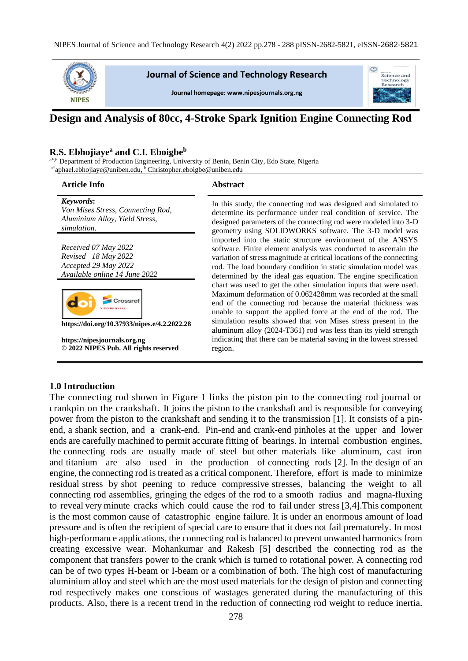

**Journal of Science and Technology Research** 

Journal homepage: www.nipesjournals.org.ng



# **Design and Analysis of 80cc, 4-Stroke Spark Ignition Engine Connecting Rod**

#### **R.S. Ebhojiaye<sup>a</sup> and C.I. Eboigbe<sup>b</sup>**

<sup>a\*,b</sup> Department of Production Engineering, University of Benin, Benin City, Edo State, Nigeria  $a^*$ aphael.ebhojiaye@uniben.edu,  $\overline{b}$ Christopher.eboigbe@uniben.edu

| <b>Article Info</b>                                                                                                                                                                                                           | <b>Abstract</b>                                                                                                                                                                                                                                                                                                                                                                                                                                                                                                                                                                                                                                                                                                                                                                                                                            |
|-------------------------------------------------------------------------------------------------------------------------------------------------------------------------------------------------------------------------------|--------------------------------------------------------------------------------------------------------------------------------------------------------------------------------------------------------------------------------------------------------------------------------------------------------------------------------------------------------------------------------------------------------------------------------------------------------------------------------------------------------------------------------------------------------------------------------------------------------------------------------------------------------------------------------------------------------------------------------------------------------------------------------------------------------------------------------------------|
| Keywords:<br>Von Mises Stress, Connecting Rod,<br>Aluminium Alloy, Yield Stress,<br>simulation.                                                                                                                               | In this study, the connecting rod was designed and simulated to<br>determine its performance under real condition of service. The<br>designed parameters of the connecting rod were modeled into 3-D<br>geometry using SOLIDWORKS software. The 3-D model was                                                                                                                                                                                                                                                                                                                                                                                                                                                                                                                                                                              |
| Received 07 May 2022<br>Revised 18 May 2022<br>Accepted 29 May 2022<br>Available online 14 June 2022<br>https://doi.org/10.37933/nipes.e/4.2.2022.28<br>https://nipesjournals.org.ng<br>© 2022 NIPES Pub. All rights reserved | imported into the static structure environment of the ANSYS<br>software. Finite element analysis was conducted to ascertain the<br>variation of stress magnitude at critical locations of the connecting<br>rod. The load boundary condition in static simulation model was<br>determined by the ideal gas equation. The engine specification<br>chart was used to get the other simulation inputs that were used.<br>Maximum deformation of 0.062428mm was recorded at the small<br>end of the connecting rod because the material thickness was<br>unable to support the applied force at the end of the rod. The<br>simulation results showed that von Mises stress present in the<br>aluminum alloy (2024-T361) rod was less than its yield strength<br>indicating that there can be material saving in the lowest stressed<br>region. |

#### **1.0 Introduction**

The connecting rod shown in Figure 1 links the piston pin to the connecting rod journal or crankpin on the crankshaft. It joins the piston to the crankshaft and is responsible for conveying power from the piston to the crankshaft and sending it to the transmission [1]. It consists of a pinend, a shank section, and a crank-end. Pin-end and crank-end pinholes at the upper and lower ends are carefully machined to permit accurate fitting of bearings. In internal combustion engines, the connecting rods are usually made of steel but other materials like aluminum, cast iron and titanium are also used in the production of connecting rods [2]. In the design of an engine, the connecting rod is treated as a critical component. Therefore, effort is made to minimize residual stress by shot peening to reduce compressive stresses, balancing the weight to all connecting rod assemblies, gringing the edges of the rod to a smooth radius and magna-fluxing to reveal very minute cracks which could cause the rod to fail under stress [3,4].This component is the most common cause of catastrophic engine failure. It is under an enormous amount of load pressure and is often the recipient of special care to ensure that it does not fail prematurely. In most high-performance applications, the connecting rod is balanced to prevent unwanted harmonics from creating excessive wear. Mohankumar and Rakesh [5] described the connecting rod as the component that transfers power to the crank which is turned to rotational power. A connecting rod can be of two types H-beam or I-beam or a combination of both. The high cost of manufacturing aluminium alloy and steel which are the most used materials for the design of piston and connecting rod respectively makes one conscious of wastages generated during the manufacturing of this products. Also, there is a recent trend in the reduction of connecting rod weight to reduce inertia.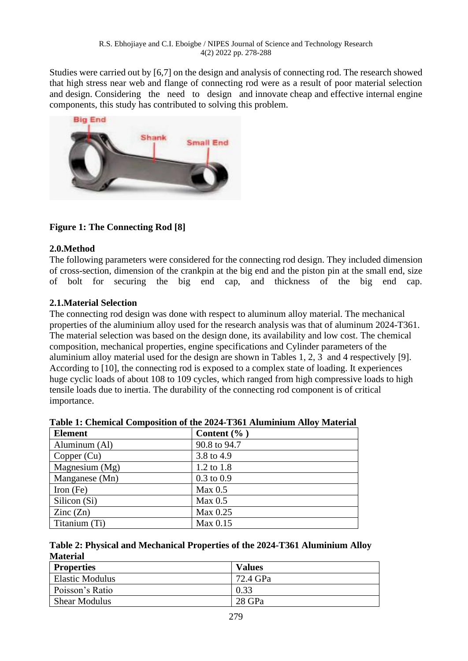Studies were carried out by [6,7] on the design and analysis of connecting rod. The research showed that high stress near web and flange of connecting rod were as a result of poor material selection and design. Considering the need to design and innovate cheap and effective internal engine components, this study has contributed to solving this problem.



# **Figure 1: The Connecting Rod [8]**

## **2.0.Method**

The following parameters were considered for the connecting rod design. They included dimension of cross-section, dimension of the crankpin at the big end and the piston pin at the small end, size of bolt for securing the big end cap, and thickness of the big end cap.

## **2.1.Material Selection**

The connecting rod design was done with respect to aluminum alloy material. The mechanical properties of the aluminium alloy used for the research analysis was that of aluminum 2024-T361. The material selection was based on the design done, its availability and low cost. The chemical composition, mechanical properties, engine specifications and Cylinder parameters of the aluminium alloy material used for the design are shown in Tables 1, 2, 3 and 4 respectively [9]. According to [10], the connecting rod is exposed to a complex state of loading. It experiences huge cyclic loads of about 108 to 109 cycles, which ranged from high compressive loads to high tensile loads due to inertia. The durability of the connecting rod component is of critical importance.

| <b>Element</b>           | Content $(\%$ )       |
|--------------------------|-----------------------|
| Aluminum (Al)            | 90.8 to 94.7          |
| Copper $(Cu)$            | 3.8 to 4.9            |
| Magnesium $(Mg)$         | 1.2 to 1.8            |
| Manganese (Mn)           | $0.3 \text{ to } 0.9$ |
| Iron $(Fe)$              | Max 0.5               |
| Silicon (Si)             | Max 0.5               |
| $\text{Zinc}(\text{Zn})$ | Max 0.25              |
| Titanium (Ti)            | Max 0.15              |

| Table 1: Chemical Composition of the 2024-T361 Aluminium Alloy Material |  |  |
|-------------------------------------------------------------------------|--|--|
|                                                                         |  |  |

| Table 2: Physical and Mechanical Properties of the 2024-T361 Aluminium Alloy |  |
|------------------------------------------------------------------------------|--|
| <b>Material</b>                                                              |  |

| <b>Properties</b>      | <b>Values</b> |
|------------------------|---------------|
| <b>Elastic Modulus</b> | 72.4 GPa      |
| Poisson's Ratio        | 0.33          |
| <b>Shear Modulus</b>   | 28 GPa        |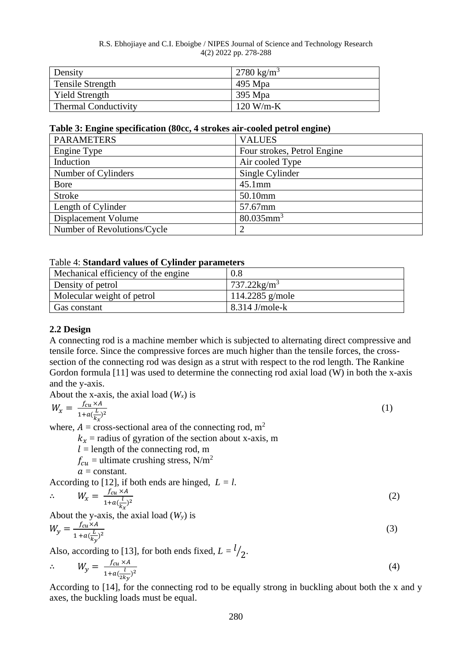#### R.S. Ebhojiaye and C.I. Eboigbe / NIPES Journal of Science and Technology Research 4(2) 2022 pp. 278-288

| Density                     | 2780 kg/m <sup>3</sup> |
|-----------------------------|------------------------|
| Tensile Strength            | 495 Mpa                |
| <b>Yield Strength</b>       | 395 Mpa                |
| <b>Thermal Conductivity</b> | $120$ W/m-K            |

#### **Table 3: Engine specification (80cc, 4 strokes air-cooled petrol engine)**

| <b>PARAMETERS</b>           | <b>VALUES</b>               |
|-----------------------------|-----------------------------|
| Engine Type                 | Four strokes, Petrol Engine |
| Induction                   | Air cooled Type             |
| Number of Cylinders         | Single Cylinder             |
| <b>Bore</b>                 | $45.1$ mm                   |
| <b>Stroke</b>               | 50.10mm                     |
| Length of Cylinder          | 57.67mm                     |
| Displacement Volume         | $80.035$ mm <sup>3</sup>    |
| Number of Revolutions/Cycle | ာ                           |

### Table 4: **Standard values of Cylinder parameters**

| Mechanical efficiency of the engine | $0.8\,$                |
|-------------------------------------|------------------------|
| Density of petrol                   | 737.22 $\text{kg/m}^3$ |
| Molecular weight of petrol          | 114.2285 g/mole        |
| Gas constant                        | $8.314$ J/mole-k       |

### **2.2 Design**

A connecting rod is a machine member which is subjected to alternating direct compressive and tensile force. Since the compressive forces are much higher than the tensile forces, the crosssection of the connecting rod was design as a strut with respect to the rod length. The Rankine Gordon formula [11] was used to determine the connecting rod axial load (W) in both the x-axis and the y-axis.

About the x-axis, the axial load  $(W_x)$  is

$$
W_x = \frac{f_{cu} \times A}{1 + a(\frac{L}{k_x})^2} \tag{1}
$$

where,  $A = \text{cross-sectional area of the connecting rod, m<sup>2</sup>}$ 

 $k_x$  = radius of gyration of the section about x-axis, m

 $l =$  length of the connecting rod, m

 $f_{cu}$  = ultimate crushing stress, N/m<sup>2</sup>

$$
a = constant.
$$

According to [12], if both ends are hinged,  $L = l$ .

$$
\therefore W_x = \frac{f_{cu} \times A}{1 + a(\frac{l}{k_x})^2}
$$
 (2)

About the y-axis, the axial load (*Wy*) is

$$
W_y = \frac{f_{cu} \times A}{1 + a(\frac{L}{k_y})^2} \tag{3}
$$

Also, according to [13], for both ends fixed,  $L = \frac{l}{2}$ .

$$
\therefore \qquad W_{y} = \frac{f_{cu} \times A}{1 + a(\frac{l}{2ky})^2} \tag{4}
$$

According to [14], for the connecting rod to be equally strong in buckling about both the x and y axes, the buckling loads must be equal.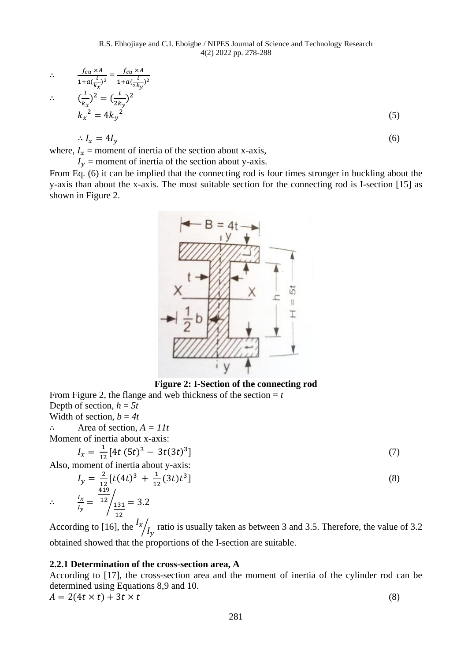$$
\therefore \qquad \frac{f_{cu} \times A}{1 + a(\frac{l}{k_x})^2} = \frac{f_{cu} \times A}{1 + a(\frac{l}{2k_y})^2}
$$

$$
\ddot{\phi} = 0
$$

$$
\left(\frac{l}{k_x}\right)^2 = \left(\frac{l}{2k_y}\right)^2
$$
\n
$$
k_x^2 = 4k_y^2
$$
\n(5)

$$
\therefore I_x = 4I_y \tag{6}
$$

where,  $I_x$  = moment of inertia of the section about x-axis,  $I_{\mathbf{y}}$  = moment of inertia of the section about y-axis.

From Eq. (6) it can be implied that the connecting rod is four times stronger in buckling about the y-axis than about the x-axis. The most suitable section for the connecting rod is I-section [15] as shown in Figure 2.



**Figure 2: I-Section of the connecting rod** From Figure 2, the flange and web thickness of the section  $= t$ 

Depth of section,  $h = 5t$ Width of section,  $b = 4t$ 

∴

∴ Area of section, *A = 11t*

Moment of inertia about x-axis:

$$
I_x = \frac{1}{12} [4t (5t)^3 - 3t (3t)^3]
$$
\n(7)

Also, moment of inertia about y-axis:  $I_y = \frac{2}{1}$  $\frac{2}{12}[t(4t)^3 + \frac{1}{12}]$  $\frac{1}{12}(3t)t^3$  $\left| \begin{array}{c} \hline \end{array} \right|$  (8)  $I_{\mathcal{X}}$  $\frac{I_x}{I_y} =$ 419  $12/131$ 12  $\frac{2}{131}$  = 3.2

According to [16], the  $\frac{I_x}{I_y}$  ratio is usually taken as between 3 and 3.5. Therefore, the value of 3.2 obtained showed that the proportions of the I-section are suitable.

### **2.2.1 Determination of the cross-section area, A**

According to [17], the cross-section area and the moment of inertia of the cylinder rod can be determined using Equations 8,9 and 10.

$$
A = 2(4t \times t) + 3t \times t
$$
 (8)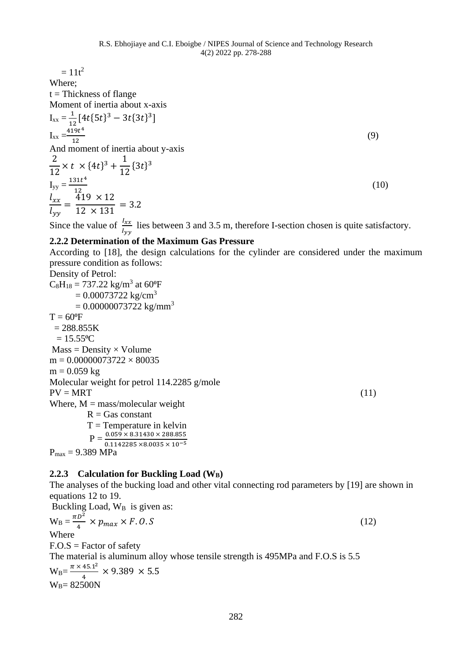$= 11t^2$ Where;  $t = Thickness$  of flange Moment of inertia about x-axis  $I_{xx} = \frac{1}{1}$  $\frac{1}{12}[4t\{5t\}^3 - 3t\{3t\}^3]$  $I_{xx} = \frac{419t^4}{12}$ 12  $(9)$ And moment of inertia about y-axis 2  $12 \frac{12}{12}$  $\times t \times \{4t\}^3 + \frac{1}{11}$  ${3t}^3$  $I_{yy} = \frac{131t^4}{13}$  $\frac{12}{12}$  (10)  $l_{xx}$  $l_{yy}$ =  $419 \times 12$  $\frac{12 \times 131}{12 \times 131} = 3.2$ Since the value of  $\frac{l_{xx}}{l_{yy}}$  lies between 3 and 3.5 m, therefore I-section chosen is quite satisfactory. **2.2.2 Determination of the Maximum Gas Pressure** According to [18], the design calculations for the cylinder are considered under the maximum pressure condition as follows: Density of Petrol:  $C_8H_{18} = 737.22 \text{ kg/m}^3 \text{ at } 60^{\circ} \text{F}$  $= 0.00073722$  kg/cm<sup>3</sup>

 $= 0.00000073722$  kg/mm<sup>3</sup>  $T = 60^{\circ}F$  $= 288.855K$  $= 15.55$ <sup>o</sup>C  $Mass = Density \times Volume$  $m = 0.00000073722 \times 80035$  $m = 0.059$  kg Molecular weight for petrol 114.2285 g/mole  $PV = MRT$  (11) Where,  $M = \frac{mass}{model}$  weight  $R = Gas constant$  $T =$ Temperature in kelvin  ${\rm P = \frac{0.059 \times 8.31430 \times 288.855}{0.1142285 \times 8.0035 \times 10^{-5}}}$  $P<sub>max</sub> = 9.389 MPa$ 

#### **2.2.3 Calculation for Buckling Load (WB)**

 $W_B = 82500N$ 

The analyses of the bucking load and other vital connecting rod parameters by [19] are shown in equations 12 to 19. Buckling Load, W<sub>B</sub> is given as:  $W_B = \frac{\pi D^2}{4}$  $\frac{b}{4} \times p_{max} \times F. 0. S$  (12) Where  $F.O.S = Factor of safety$ The material is aluminum alloy whose tensile strength is 495MPa and F.O.S is 5.5  $W_B = \frac{\pi \times 45.1^2}{4}$  $\frac{43.1}{4} \times 9.389 \times 5.5$ 

282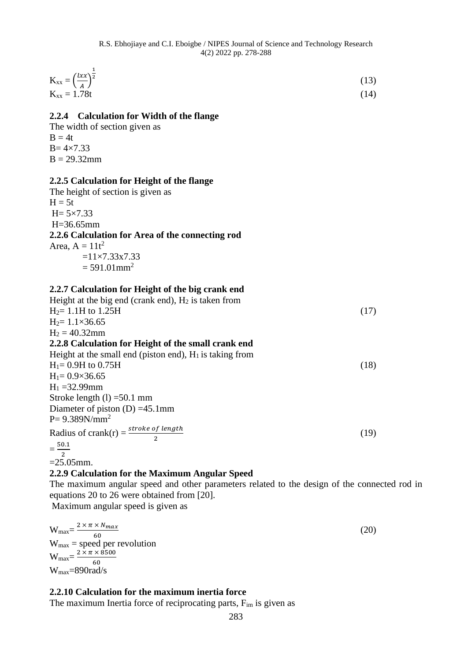| $K_{xx} = \left(\frac{lxx}{A}\right)^2$ | (13) |
|-----------------------------------------|------|
| $K_{xx} = 1.78t$                        | (14) |

### **2.2.4 Calculation for Width of the flange**

The width of section given as  $B = 4t$  $B = 4 \times 7.33$  $B = 29.32$ mm

### **2.2.5 Calculation for Height of the flange**

The height of section is given as  $H = 5t$  $H = 5 \times 7.33$ H=36.65mm **2.2.6 Calculation for Area of the connecting rod** Area,  $A = 11t^2$  $=11\times7.33\times7.33$  $= 591.01$  mm<sup>2</sup>

### **2.2.7 Calculation for Height of the big crank end**

| Height at the big end (crank end), $H_2$ is taken from     |      |
|------------------------------------------------------------|------|
| $H_2 = 1.1H$ to 1.25H                                      | (17) |
| $H_2 = 1.1 \times 36.65$                                   |      |
| $H_2 = 40.32$ mm                                           |      |
| 2.2.8 Calculation for Height of the small crank end        |      |
| Height at the small end (piston end), $H_1$ is taking from |      |
| $H_1 = 0.9H$ to 0.75H                                      | (18) |
| $H_1 = 0.9 \times 36.65$                                   |      |
| $H_1 = 32.99$ mm                                           |      |
| Stroke length $(l) = 50.1$ mm                              |      |
| Diameter of piston $(D) = 45.1$ mm                         |      |
| $P = 9.389N/mm^2$                                          |      |
| Radius of crank(r) = $\frac{stroke\ of\ length}{2}$        | (19) |
| $=$ $\frac{50.1}{1}$                                       |      |

2  $=25.05$ mm.

## **2.2.9 Calculation for the Maximum Angular Speed**

The maximum angular speed and other parameters related to the design of the connected rod in equations 20 to 26 were obtained from [20].

Maximum angular speed is given as

$$
W_{\text{max}} = \frac{2 \times \pi \times N_{\text{max}}}{60}
$$
  
\n
$$
W_{\text{max}} = \text{speed per revolution}
$$
  
\n
$$
W_{\text{max}} = \frac{2 \times \pi \times 8500}{60}
$$
  
\n
$$
W_{\text{max}} = 890 \text{rad/s}
$$
 (20)

**2.2.10 Calculation for the maximum inertia force**

The maximum Inertia force of reciprocating parts,  $F_{im}$  is given as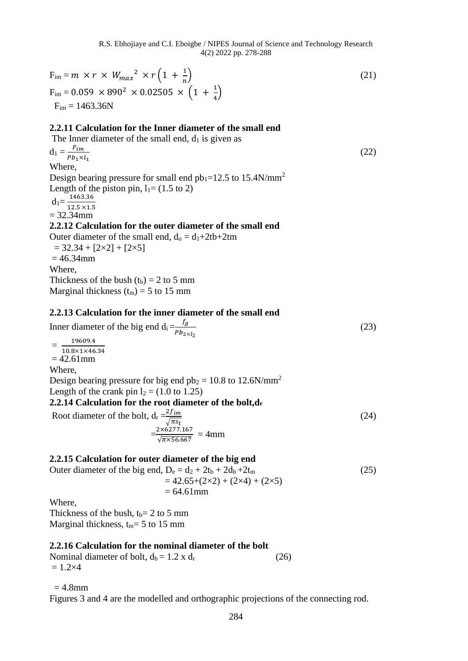$F_{\text{im}} = m \times r \times W_{\text{max}}^2 \times r \left(1 + \frac{1}{n}\right)$  $\boldsymbol{n}$  $(21)$  $F_{\text{im}} = 0.059 \times 890^2 \times 0.02505 \times \left(1 + \frac{1}{4}\right)$  $\frac{1}{4}$  $F_{im} = 1463.36N$ **2.2.11 Calculation for the Inner diameter of the small end** The Inner diameter of the small end,  $d_1$  is given as  $d_1 = \frac{F_{im}}{R_{im} \times R}$  $Pb_1\times l_1$ (22) Where, Design bearing pressure for small end  $pb_1=12.5$  to 15.4N/mm<sup>2</sup> Length of the piston pin,  $l_1 = (1.5 \text{ to } 2)$  $d_1 = \frac{1463.36}{13.5 \times 1.6}$ 12.5 ×1.5  $= 32.34$ mm **2.2.12 Calculation for the outer diameter of the small end** Outer diameter of the small end,  $d_0 = d_1 + 2tb + 2tm$  $= 32.34 + [2 \times 2] + [2 \times 5]$  $= 46.34$ mm Where, Thickness of the bush  $(t_b) = 2$  to 5 mm Marginal thickness  $(t_m) = 5$  to 15 mm **2.2.13 Calculation for the inner diameter of the small end** Inner diameter of the big end  $d_i = \frac{fg}{dt}$  $Pb_{2\times l_2}$ (23)  $=\frac{19009.4}{10.8 \times 1 \times 46.34}$ 19609.4  $= 42.61$  mm Where, Design bearing pressure for big end  $pb_2 = 10.8$  to 12.6N/mm<sup>2</sup> Length of the crank pin  $l_2 = (1.0 \text{ to } 1.25)$ **2.2.14 Calculation for the root diameter of the bolt,d<sup>r</sup>** Root diameter of the bolt,  $d_r = \frac{2f_{im}}{\sqrt{2f_{im}}}$  $\sqrt{\pi s_t}$ (24)  $=\frac{2\times6277.167}{\sqrt{2456.667}}$  $\frac{2 \times 6277.167}{\sqrt{\pi \times 56.667}}$  = 4mm **2.2.15 Calculation for outer diameter of the big end**  Outer diameter of the big end,  $D_e = d_2 + 2t_b + 2d_b + 2t_m$  (25)  $= 42.65+(2\times2) + (2\times4) + (2\times5)$ 

 $= 64.61$ mm

Where,

Thickness of the bush,  $t_b= 2$  to 5 mm Marginal thickness,  $t_m = 5$  to 15 mm

## **2.2.16 Calculation for the nominal diameter of the bolt**

Nominal diameter of bolt,  $d_b = 1.2$  x  $d_r$  (26)  $= 1.2 \times 4$ 

 $= 4.8$ mm

Figures 3 and 4 are the modelled and orthographic projections of the connecting rod.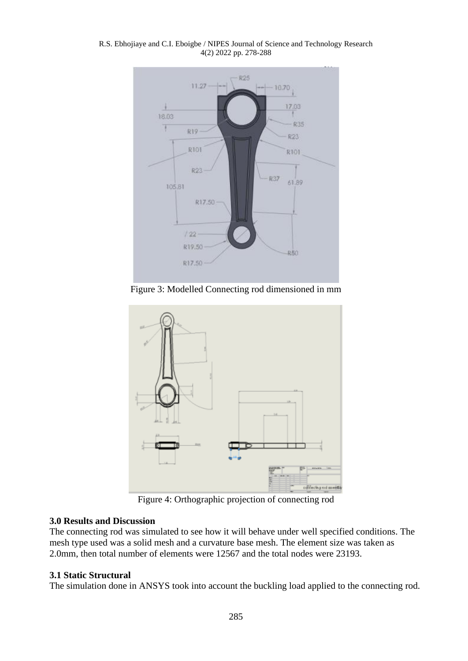R.S. Ebhojiaye and C.I. Eboigbe / NIPES Journal of Science and Technology Research 4(2) 2022 pp. 278-288



Figure 3: Modelled Connecting rod dimensioned in mm



Figure 4: Orthographic projection of connecting rod

## **3.0 Results and Discussion**

The connecting rod was simulated to see how it will behave under well specified conditions. The mesh type used was a solid mesh and a curvature base mesh. The element size was taken as 2.0mm, then total number of elements were 12567 and the total nodes were 23193.

## **3.1 Static Structural**

The simulation done in ANSYS took into account the buckling load applied to the connecting rod.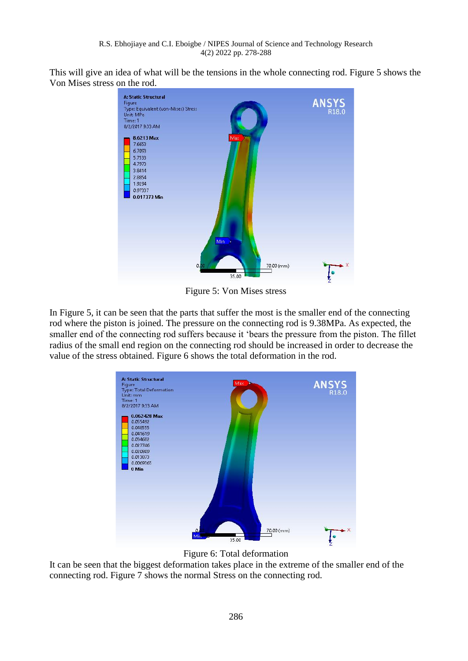This will give an idea of what will be the tensions in the whole connecting rod. Figure 5 shows the Von Mises stress on the rod.



Figure 5: Von Mises stress

In Figure 5, it can be seen that the parts that suffer the most is the smaller end of the connecting rod where the piston is joined. The pressure on the connecting rod is 9.38MPa. As expected, the smaller end of the connecting rod suffers because it 'bears the pressure from the piston. The fillet radius of the small end region on the connecting rod should be increased in order to decrease the value of the stress obtained. Figure 6 shows the total deformation in the rod.



Figure 6: Total deformation

It can be seen that the biggest deformation takes place in the extreme of the smaller end of the connecting rod. Figure 7 shows the normal Stress on the connecting rod.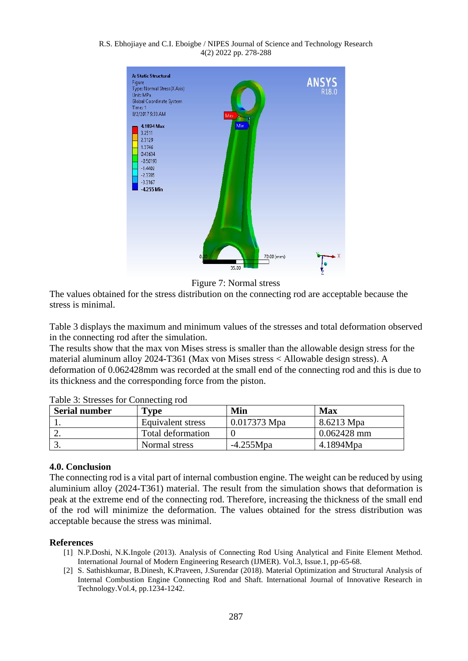#### R.S. Ebhojiaye and C.I. Eboigbe / NIPES Journal of Science and Technology Research 4(2) 2022 pp. 278-288





The values obtained for the stress distribution on the connecting rod are acceptable because the stress is minimal.

Table 3 displays the maximum and minimum values of the stresses and total deformation observed in the connecting rod after the simulation.

The results show that the max von Mises stress is smaller than the allowable design stress for the material aluminum alloy 2024-T361 (Max von Mises stress < Allowable design stress). A deformation of 0.062428mm was recorded at the small end of the connecting rod and this is due to its thickness and the corresponding force from the piston.

| <b>Serial number</b> | <b>Type</b>              | Min          | <b>Max</b>    |
|----------------------|--------------------------|--------------|---------------|
|                      | Equivalent stress        | 0.017373 Mpa | 8.6213 Mpa    |
| <u>.</u>             | <b>Total deformation</b> |              | $0.062428$ mm |
|                      | Normal stress            | $-4.255Mpa$  | 4.1894Mpa     |

Table 3: Stresses for Connecting rod

### **4.0. Conclusion**

The connecting rod is a vital part of internal combustion engine. The weight can be reduced by using aluminium alloy (2024-T361) material. The result from the simulation shows that deformation is peak at the extreme end of the connecting rod. Therefore, increasing the thickness of the small end of the rod will minimize the deformation. The values obtained for the stress distribution was acceptable because the stress was minimal.

### **References**

- [1] N.P.Doshi, N.K.Ingole (2013). Analysis of Connecting Rod Using Analytical and Finite Element Method. International Journal of Modern Engineering Research (IJMER). Vol.3, Issue.1, pp-65-68.
- [2] S. Sathishkumar, B.Dinesh, K.Praveen, J.Surendar (2018). Material Optimization and Structural Analysis of Internal Combustion Engine Connecting Rod and Shaft. International Journal of Innovative Research in Technology.Vol.4, pp.1234-1242.